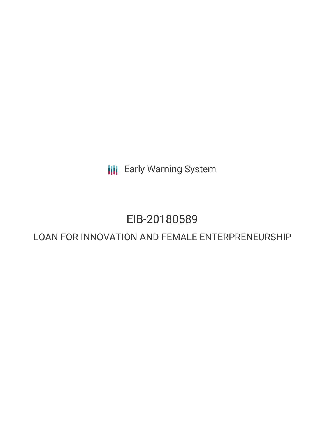**III** Early Warning System

# EIB-20180589

# LOAN FOR INNOVATION AND FEMALE ENTERPRENEURSHIP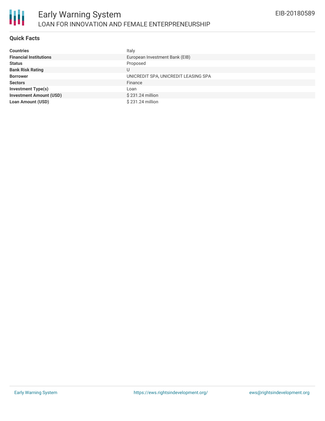

## **Quick Facts**

| <b>Countries</b>               | Italy                                |
|--------------------------------|--------------------------------------|
| <b>Financial Institutions</b>  | European Investment Bank (EIB)       |
| <b>Status</b>                  | Proposed                             |
| <b>Bank Risk Rating</b>        | U                                    |
| <b>Borrower</b>                | UNICREDIT SPA, UNICREDIT LEASING SPA |
| <b>Sectors</b>                 | Finance                              |
| <b>Investment Type(s)</b>      | Loan                                 |
| <b>Investment Amount (USD)</b> | \$231.24 million                     |
| <b>Loan Amount (USD)</b>       | \$231.24 million                     |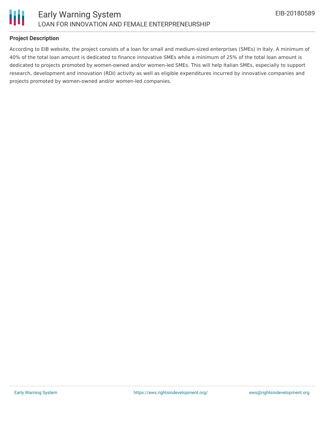



# **Project Description**

According to EIB website, the project consists of a loan for small and medium-sized enterprises (SMEs) in Italy. A minimum of 40% of the total loan amount is dedicated to finance innovative SMEs while a minimum of 25% of the total loan amount is dedicated to projects promoted by women-owned and/or women-led SMEs. This will help Italian SMEs, especially to support research, development and innovation (RDI) activity as well as eligible expenditures incurred by innovative companies and projects promoted by women-owned and/or women-led companies.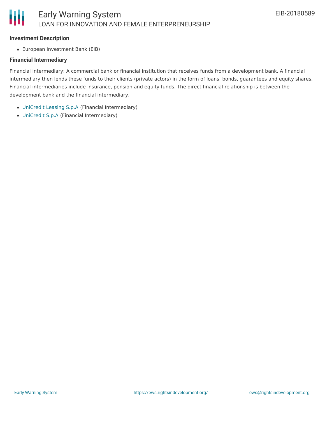#### **Investment Description**

European Investment Bank (EIB)

## **Financial Intermediary**

Financial Intermediary: A commercial bank or financial institution that receives funds from a development bank. A financial intermediary then lends these funds to their clients (private actors) in the form of loans, bonds, guarantees and equity shares. Financial intermediaries include insurance, pension and equity funds. The direct financial relationship is between the development bank and the financial intermediary.

- [UniCredit](file:///actor/887/) Leasing S.p.A (Financial Intermediary)
- [UniCredit](file:///actor/77/) S.p.A (Financial Intermediary)